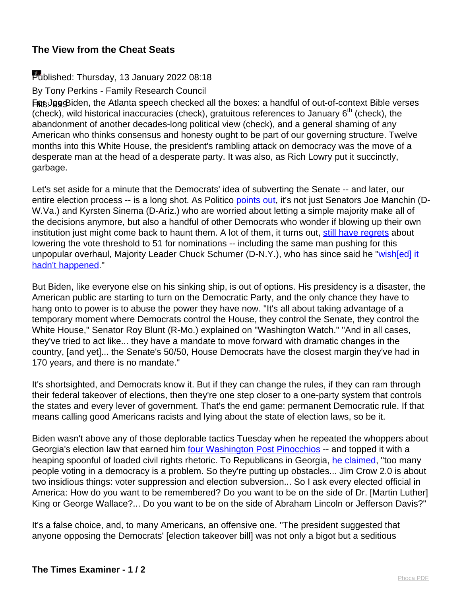## **The View from the Cheat Seats**

## Published: Thursday, 13 January 2022 08:18

By Tony Perkins - Family Research Council

Feguist Biden, the Atlanta speech checked all the boxes: a handful of out-of-context Bible verses (check), wild historical inaccuracies (check), gratuitous references to January  $6<sup>th</sup>$  (check), the abandonment of another decades-long political view (check), and a general shaming of any American who thinks consensus and honesty ought to be part of our governing structure. Twelve months into this White House, the president's rambling attack on democracy was the move of a desperate man at the head of a desperate party. It was also, as Rich Lowry put it succinctly, garbage.

Let's set aside for a minute that the Democrats' idea of subverting the Senate -- and later, our entire election process -- is a long shot. As Politico [points out,](https://www.politico.com/news/2022/01/10/democrats-filibuster-vote-526863) it's not just Senators Joe Manchin (D-W.Va.) and Kyrsten Sinema (D-Ariz.) who are worried about letting a simple majority make all of the decisions anymore, but also a handful of other Democrats who wonder if blowing up their own institution just might come back to haunt them. A lot of them, it turns out, [still have regrets](https://www.republicanleader.senate.gov/newsroom/research/nuclear-option-regrets-democrats-have-had-a-few) about lowering the vote threshold to 51 for nominations -- including the same man pushing for this unpopular overhaul, Majority Leader Chuck Schumer (D-N.Y.), who has since said he "[wish\[ed\] it](https://www.cnn.com/2017/01/03/politics/chuck-schumer-nominees/index.html) [hadn't happened.](https://www.cnn.com/2017/01/03/politics/chuck-schumer-nominees/index.html)"

But Biden, like everyone else on his sinking ship, is out of options. His presidency is a disaster, the American public are starting to turn on the Democratic Party, and the only chance they have to hang onto to power is to abuse the power they have now. "It's all about taking advantage of a temporary moment where Democrats control the House, they control the Senate, they control the White House," Senator Roy Blunt (R-Mo.) explained on "Washington Watch." "And in all cases, they've tried to act like... they have a mandate to move forward with dramatic changes in the country, [and yet]... the Senate's 50/50, House Democrats have the closest margin they've had in 170 years, and there is no mandate."

It's shortsighted, and Democrats know it. But if they can change the rules, if they can ram through their federal takeover of elections, then they're one step closer to a one-party system that controls the states and every lever of government. That's the end game: permanent Democratic rule. If that means calling good Americans racists and lying about the state of election laws, so be it.

Biden wasn't above any of those deplorable tactics Tuesday when he repeated the whoppers about Georgia's election law that earned him [four Washington Post Pinocchios](https://www.washingtonpost.com/politics/2021/03/30/biden-falsely-claims-new-georgia-law-ends-voting-hours-early/) -- and topped it with a heaping spoonful of loaded civil rights rhetoric. To Republicans in Georgia, [he claimed](https://www.whitehouse.gov/briefing-room/speeches-remarks/2022/01/11/remarks-by-president-biden-on-protecting-the-right-to-vote/), "too many people voting in a democracy is a problem. So they're putting up obstacles... Jim Crow 2.0 is about two insidious things: voter suppression and election subversion... So I ask every elected official in America: How do you want to be remembered? Do you want to be on the side of Dr. [Martin Luther] King or George Wallace?... Do you want to be on the side of Abraham Lincoln or Jefferson Davis?"

It's a false choice, and, to many Americans, an offensive one. "The president suggested that anyone opposing the Democrats' [election takeover bill] was not only a bigot but a seditious